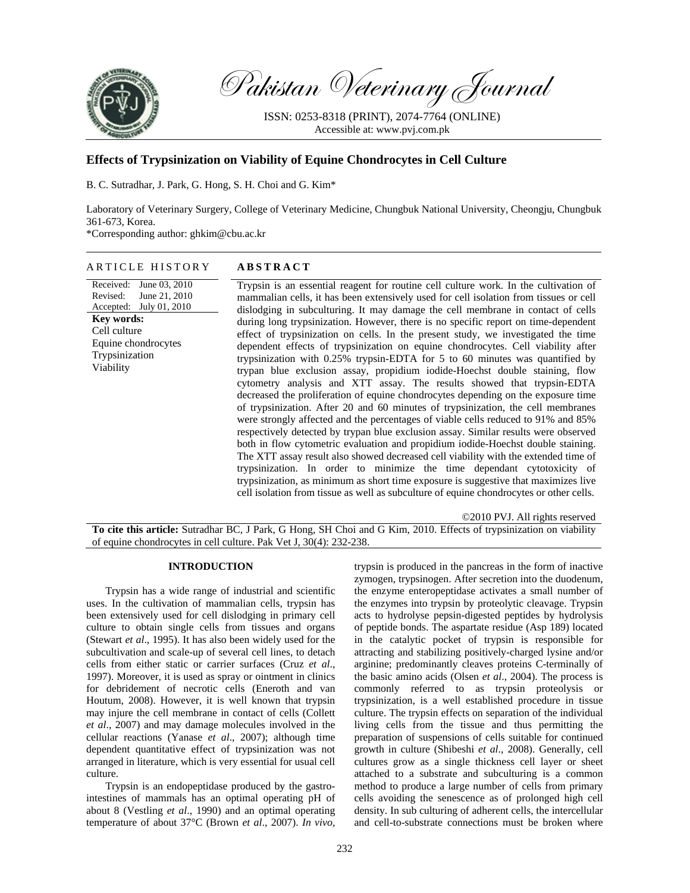

Pakistan Veterinary Journal

ISSN: 0253-8318 (PRINT), 2074-7764 (ONLINE) Accessible at: www.pvj.com.pk

# **Effects of Trypsinization on Viability of Equine Chondrocytes in Cell Culture**

B. C. Sutradhar, J. Park, G. Hong, S. H. Choi and G. Kim\*

Laboratory of Veterinary Surgery, College of Veterinary Medicine, Chungbuk National University, Cheongju, Chungbuk 361-673, Korea.

\*Corresponding author: ghkim@cbu.ac.kr

### ARTICLE HISTORY **ABSTRACT**

Received: June 03, 2010 Revised: Accepted: July 01, 2010 June 21, 2010 **Key words:**  Cell culture Equine chondrocytes Trypsinization Viability

Trypsin is an essential reagent for routine cell culture work. In the cultivation of mammalian cells, it has been extensively used for cell isolation from tissues or cell dislodging in subculturing. It may damage the cell membrane in contact of cells during long trypsinization. However, there is no specific report on time-dependent effect of trypsinization on cells. In the present study, we investigated the time dependent effects of trypsinization on equine chondrocytes. Cell viability after trypsinization with 0.25% trypsin-EDTA for 5 to 60 minutes was quantified by trypan blue exclusion assay, propidium iodide-Hoechst double staining, flow cytometry analysis and XTT assay. The results showed that trypsin-EDTA decreased the proliferation of equine chondrocytes depending on the exposure time of trypsinization. After 20 and 60 minutes of trypsinization, the cell membranes were strongly affected and the percentages of viable cells reduced to 91% and 85% respectively detected by trypan blue exclusion assay. Similar results were observed both in flow cytometric evaluation and propidium iodide-Hoechst double staining. The XTT assay result also showed decreased cell viability with the extended time of trypsinization. In order to minimize the time dependant cytotoxicity of trypsinization, as minimum as short time exposure is suggestive that maximizes live cell isolation from tissue as well as subculture of equine chondrocytes or other cells.

©2010 PVJ. All rights reserved **To cite this article:** Sutradhar BC, J Park, G Hong, SH Choi and G Kim, 2010. Effects of trypsinization on viability of equine chondrocytes in cell culture. Pak Vet J, 30(4): 232-238.

## **INTRODUCTION**

Trypsin has a wide range of industrial and scientific uses. In the cultivation of mammalian cells, trypsin has been extensively used for cell dislodging in primary cell culture to obtain single cells from tissues and organs (Stewart *et al*., 1995). It has also been widely used for the subcultivation and scale-up of several cell lines, to detach cells from either static or carrier surfaces (Cruz *et al*., 1997). Moreover, it is used as spray or ointment in clinics for debridement of necrotic cells (Eneroth and van Houtum, 2008). However, it is well known that trypsin may injure the cell membrane in contact of cells (Collett *et al*., 2007) and may damage molecules involved in the cellular reactions (Yanase *et al*., 2007); although time dependent quantitative effect of trypsinization was not arranged in literature, which is very essential for usual cell culture.

Trypsin is an endopeptidase produced by the gastrointestines of mammals has an optimal operating pH of about 8 (Vestling *et al*., 1990) and an optimal operating temperature of about 37°C (Brown *et al*., 2007). *In vivo,* 

trypsin is produced in the pancreas in the form of inactive zymogen, trypsinogen. After secretion into the duodenum, the enzyme enteropeptidase activates a small number of the enzymes into trypsin by proteolytic cleavage. Trypsin acts to hydrolyse pepsin-digested peptides by hydrolysis of peptide bonds. The aspartate residue (Asp 189) located in the catalytic pocket of trypsin is responsible for attracting and stabilizing positively-charged lysine and/or arginine; predominantly cleaves proteins C-terminally of the basic amino acids (Olsen *et al*., 2004). The process is commonly referred to as trypsin proteolysis or trypsinization, is a well established procedure in tissue culture. The trypsin effects on separation of the individual living cells from the tissue and thus permitting the preparation of suspensions of cells suitable for continued growth in culture (Shibeshi *et al*., 2008). Generally, cell cultures grow as a single thickness cell layer or sheet attached to a substrate and subculturing is a common method to produce a large number of cells from primary cells avoiding the senescence as of prolonged high cell density. In sub culturing of adherent cells, the intercellular and cell-to-substrate connections must be broken where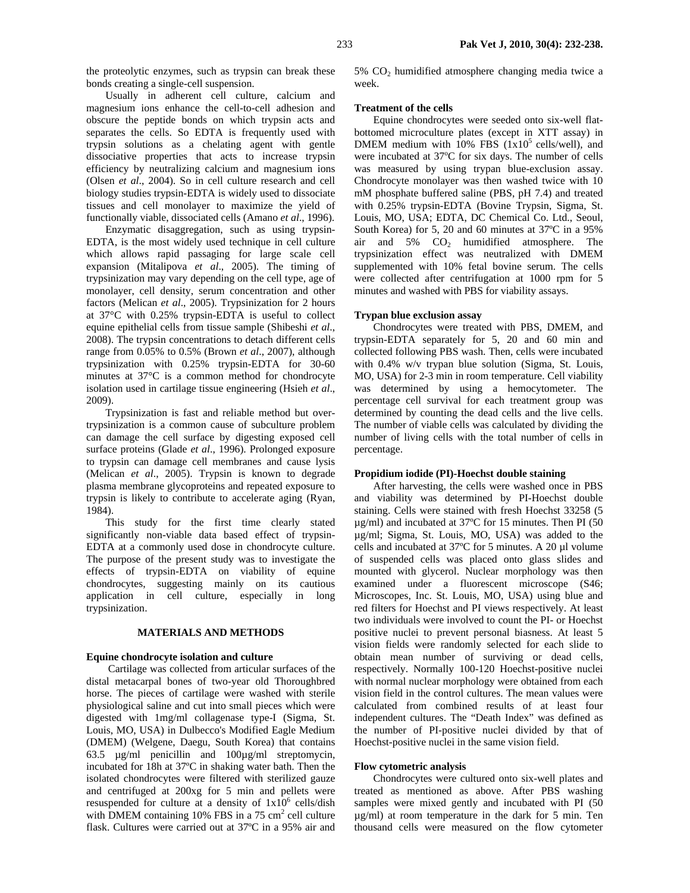the proteolytic enzymes, such as trypsin can break these bonds creating a single-cell suspension.

Usually in adherent cell culture, calcium and magnesium ions enhance the cell-to-cell adhesion and obscure the peptide bonds on which trypsin acts and separates the cells. So EDTA is frequently used with trypsin solutions as a chelating agent with gentle dissociative properties that acts to increase trypsin efficiency by neutralizing calcium and magnesium ions (Olsen *et al*., 2004). So in cell culture research and cell biology studies trypsin-EDTA is widely used to dissociate tissues and cell monolayer to maximize the yield of functionally viable, dissociated cells (Amano *et al*., 1996).

Enzymatic disaggregation, such as using trypsin-EDTA, is the most widely used technique in cell culture which allows rapid passaging for large scale cell expansion (Mitalipova *et al*., 2005). The timing of trypsinization may vary depending on the cell type, age of monolayer, cell density, serum concentration and other factors (Melican *et al*., 2005). Trypsinization for 2 hours at 37°C with 0.25% trypsin-EDTA is useful to collect equine epithelial cells from tissue sample (Shibeshi *et al*., 2008). The trypsin concentrations to detach different cells range from 0.05% to 0.5% (Brown *et al*., 2007), although trypsinization with 0.25% trypsin-EDTA for 30-60 minutes at 37°C is a common method for chondrocyte isolation used in cartilage tissue engineering (Hsieh *et al*., 2009).

Trypsinization is fast and reliable method but overtrypsinization is a common cause of subculture problem can damage the cell surface by digesting exposed cell surface proteins (Glade *et al*., 1996). Prolonged exposure to trypsin can damage cell membranes and cause lysis (Melican *et al*., 2005). Trypsin is known to degrade plasma membrane glycoproteins and repeated exposure to trypsin is likely to contribute to accelerate aging (Ryan, 1984).

This study for the first time clearly stated significantly non-viable data based effect of trypsin-EDTA at a commonly used dose in chondrocyte culture. The purpose of the present study was to investigate the effects of trypsin-EDTA on viability of equine chondrocytes, suggesting mainly on its cautious application in cell culture, especially in long trypsinization.

## **MATERIALS AND METHODS**

#### **Equine chondrocyte isolation and culture**

 Cartilage was collected from articular surfaces of the distal metacarpal bones of two-year old Thoroughbred horse. The pieces of cartilage were washed with sterile physiological saline and cut into small pieces which were digested with 1mg/ml collagenase type-I (Sigma, St. Louis, MO, USA) in Dulbecco's Modified Eagle Medium (DMEM) (Welgene, Daegu, South Korea) that contains 63.5 µg/ml penicillin and 100µg/ml streptomycin, incubated for 18h at 37ºC in shaking water bath. Then the isolated chondrocytes were filtered with sterilized gauze and centrifuged at 200xg for 5 min and pellets were resuspended for culture at a density of  $1x10^6$  cells/dish with DMEM containing 10% FBS in a  $75 \text{ cm}^2$  cell culture flask. Cultures were carried out at 37ºC in a 95% air and

 $5\%$  CO<sub>2</sub> humidified atmosphere changing media twice a week.

### **Treatment of the cells**

Equine chondrocytes were seeded onto six-well flatbottomed microculture plates (except in XTT assay) in DMEM medium with  $10\%$  FBS  $(1x10^5 \text{ cells/well})$ , and were incubated at 37°C for six days. The number of cells was measured by using trypan blue-exclusion assay. Chondrocyte monolayer was then washed twice with 10 mM phosphate buffered saline (PBS, pH 7.4) and treated with 0.25% trypsin-EDTA (Bovine Trypsin, Sigma, St. Louis, MO, USA; EDTA, DC Chemical Co. Ltd., Seoul, South Korea) for 5, 20 and 60 minutes at 37ºC in a 95% air and  $5\%$   $CO<sub>2</sub>$  humidified atmosphere. The trypsinization effect was neutralized with DMEM supplemented with 10% fetal bovine serum. The cells were collected after centrifugation at 1000 rpm for 5 minutes and washed with PBS for viability assays.

#### **Trypan blue exclusion assay**

Chondrocytes were treated with PBS, DMEM, and trypsin-EDTA separately for 5, 20 and 60 min and collected following PBS wash. Then, cells were incubated with 0.4% w/v trypan blue solution (Sigma, St. Louis, MO, USA) for 2-3 min in room temperature. Cell viability was determined by using a hemocytometer. The percentage cell survival for each treatment group was determined by counting the dead cells and the live cells. The number of viable cells was calculated by dividing the number of living cells with the total number of cells in percentage.

### **Propidium iodide (PI)-Hoechst double staining**

After harvesting, the cells were washed once in PBS and viability was determined by PI-Hoechst double staining. Cells were stained with fresh Hoechst 33258 (5 µg/ml) and incubated at 37ºC for 15 minutes. Then PI (50 µg/ml; Sigma, St. Louis, MO, USA) was added to the cells and incubated at 37ºC for 5 minutes. A 20 µl volume of suspended cells was placed onto glass slides and mounted with glycerol. Nuclear morphology was then examined under a fluorescent microscope (S46; Microscopes, Inc. St. Louis, MO, USA) using blue and red filters for Hoechst and PI views respectively. At least two individuals were involved to count the PI- or Hoechst positive nuclei to prevent personal biasness. At least 5 vision fields were randomly selected for each slide to obtain mean number of surviving or dead cells, respectively. Normally 100-120 Hoechst-positive nuclei with normal nuclear morphology were obtained from each vision field in the control cultures. The mean values were calculated from combined results of at least four independent cultures. The "Death Index" was defined as the number of PI-positive nuclei divided by that of Hoechst-positive nuclei in the same vision field.

#### **Flow cytometric analysis**

Chondrocytes were cultured onto six-well plates and treated as mentioned as above. After PBS washing samples were mixed gently and incubated with PI (50 µg/ml) at room temperature in the dark for 5 min. Ten thousand cells were measured on the flow cytometer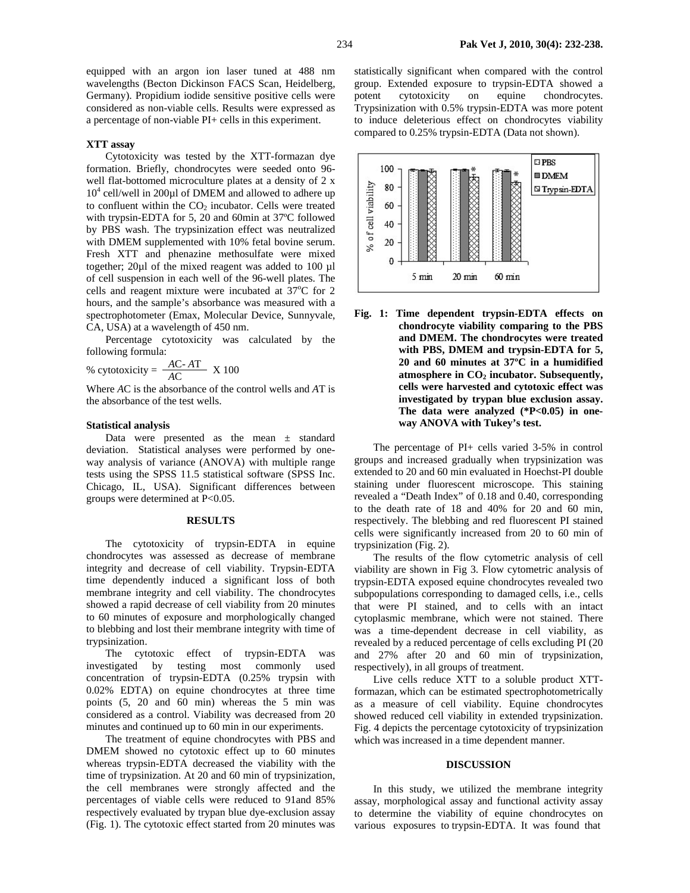equipped with an argon ion laser tuned at 488 nm wavelengths (Becton Dickinson FACS Scan, Heidelberg, Germany). Propidium iodide sensitive positive cells were considered as non-viable cells. Results were expressed as a percentage of non-viable PI+ cells in this experiment.

# **XTT assay**

Cytotoxicity was tested by the XTT-formazan dye formation. Briefly, chondrocytes were seeded onto 96 well flat-bottomed microculture plates at a density of 2 x 10<sup>4</sup> cell/well in 200µl of DMEM and allowed to adhere up to confluent within the  $CO<sub>2</sub>$  incubator. Cells were treated with trypsin-EDTA for 5, 20 and 60min at 37ºC followed by PBS wash. The trypsinization effect was neutralized with DMEM supplemented with 10% fetal bovine serum. Fresh XTT and phenazine methosulfate were mixed together; 20µl of the mixed reagent was added to 100 µl of cell suspension in each well of the 96-well plates. The cells and reagent mixture were incubated at  $37^{\circ}$ C for 2 hours, and the sample's absorbance was measured with a spectrophotometer (Emax, Molecular Device, Sunnyvale, CA, USA) at a wavelength of 450 nm.

Percentage cytotoxicity was calculated by the following formula:

% cytotoxicity =  $\frac{AC-AT}{AC}$  X 100

Where *A*C is the absorbance of the control wells and *A*T is the absorbance of the test wells.

## **Statistical analysis**

Data were presented as the mean  $\pm$  standard deviation. Statistical analyses were performed by oneway analysis of variance (ANOVA) with multiple range tests using the SPSS 11.5 statistical software (SPSS Inc. Chicago, IL, USA). Significant differences between groups were determined at P<0.05.

#### **RESULTS**

The cytotoxicity of trypsin-EDTA in equine chondrocytes was assessed as decrease of membrane integrity and decrease of cell viability. Trypsin-EDTA time dependently induced a significant loss of both membrane integrity and cell viability. The chondrocytes showed a rapid decrease of cell viability from 20 minutes to 60 minutes of exposure and morphologically changed to blebbing and lost their membrane integrity with time of trypsinization.

The cytotoxic effect of trypsin-EDTA was investigated by testing most commonly used concentration of trypsin-EDTA (0.25% trypsin with 0.02% EDTA) on equine chondrocytes at three time points (5, 20 and 60 min) whereas the 5 min was considered as a control. Viability was decreased from 20 minutes and continued up to 60 min in our experiments.

The treatment of equine chondrocytes with PBS and DMEM showed no cytotoxic effect up to 60 minutes whereas trypsin-EDTA decreased the viability with the time of trypsinization. At 20 and 60 min of trypsinization, the cell membranes were strongly affected and the percentages of viable cells were reduced to 91and 85% respectively evaluated by trypan blue dye-exclusion assay (Fig. 1). The cytotoxic effect started from 20 minutes was

statistically significant when compared with the control group. Extended exposure to trypsin-EDTA showed a potent cytotoxicity on equine chondrocytes. Trypsinization with 0.5% trypsin-EDTA was more potent to induce deleterious effect on chondrocytes viability compared to 0.25% trypsin-EDTA (Data not shown).



**Fig. 1: Time dependent trypsin-EDTA effects on chondrocyte viability comparing to the PBS and DMEM. The chondrocytes were treated with PBS, DMEM and trypsin-EDTA for 5, 20 and 60 minutes at 37ºC in a humidified**  atmosphere in CO<sub>2</sub> incubator. Subsequently, **cells were harvested and cytotoxic effect was investigated by trypan blue exclusion assay. The data were analyzed (\*P<0.05) in oneway ANOVA with Tukey's test.** 

The percentage of PI+ cells varied 3-5% in control groups and increased gradually when trypsinization was extended to 20 and 60 min evaluated in Hoechst-PI double staining under fluorescent microscope. This staining revealed a "Death Index" of 0.18 and 0.40, corresponding to the death rate of 18 and 40% for 20 and 60 min, respectively. The blebbing and red fluorescent PI stained cells were significantly increased from 20 to 60 min of trypsinization (Fig. 2).

The results of the flow cytometric analysis of cell viability are shown in Fig 3. Flow cytometric analysis of trypsin-EDTA exposed equine chondrocytes revealed two subpopulations corresponding to damaged cells, i.e., cells that were PI stained, and to cells with an intact cytoplasmic membrane, which were not stained. There was a time-dependent decrease in cell viability, as revealed by a reduced percentage of cells excluding PI (20 and 27% after 20 and 60 min of trypsinization, respectively), in all groups of treatment.

Live cells reduce XTT to a soluble product XTTformazan, which can be estimated spectrophotometrically as a measure of cell viability. Equine chondrocytes showed reduced cell viability in extended trypsinization. Fig. 4 depicts the percentage cytotoxicity of trypsinization which was increased in a time dependent manner.

#### **DISCUSSION**

In this study, we utilized the membrane integrity assay, morphological assay and functional activity assay to determine the viability of equine chondrocytes on various exposures to trypsin-EDTA. It was found that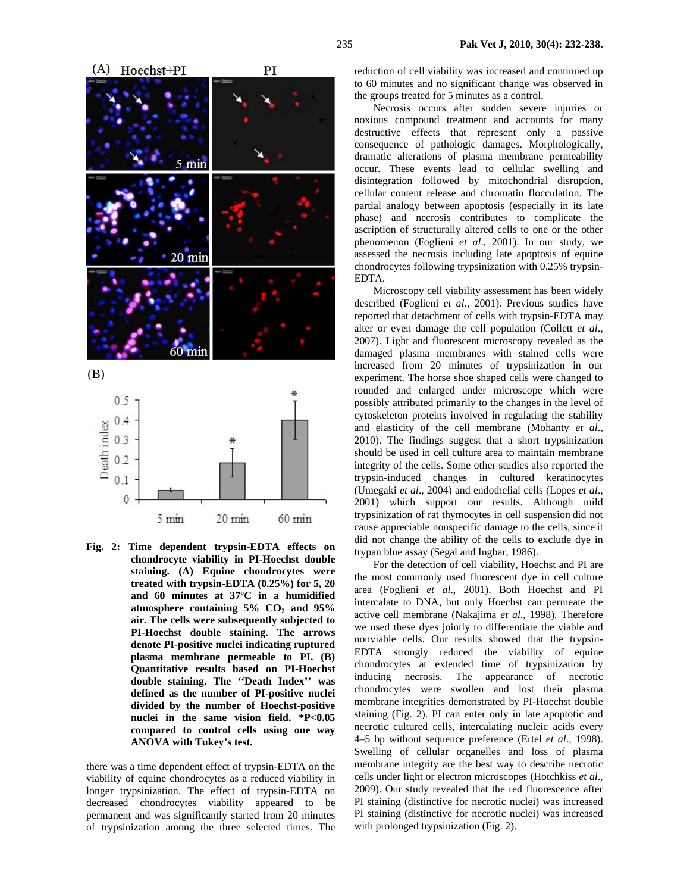

**Fig. 2: Time dependent trypsin-EDTA effects on chondrocyte viability in PI-Hoechst double staining. (A) Equine chondrocytes were treated with trypsin-EDTA (0.25%) for 5, 20 and 60 minutes at 37ºC in a humidified atmosphere containing 5% CO2 and 95% air. The cells were subsequently subjected to PI-Hoechst double staining. The arrows denote PI-positive nuclei indicating ruptured plasma membrane permeable to PI. (B) Quantitative results based on PI-Hoechst double staining. The ''Death Index'' was defined as the number of PI-positive nuclei divided by the number of Hoechst-positive nuclei in the same vision field. \*P<0.05 compared to control cells using one way ANOVA with Tukey's test.** 

there was a time dependent effect of trypsin-EDTA on the viability of equine chondrocytes as a reduced viability in longer trypsinization. The effect of trypsin-EDTA on decreased chondrocytes viability appeared to be permanent and was significantly started from 20 minutes of trypsinization among the three selected times. The

reduction of cell viability was increased and continued up to 60 minutes and no significant change was observed in the groups treated for 5 minutes as a control.

Necrosis occurs after sudden severe injuries or noxious compound treatment and accounts for many destructive effects that represent only a passive consequence of pathologic damages. Morphologically, dramatic alterations of plasma membrane permeability occur. These events lead to cellular swelling and disintegration followed by mitochondrial disruption, cellular content release and chromatin flocculation. The partial analogy between apoptosis (especially in its late phase) and necrosis contributes to complicate the ascription of structurally altered cells to one or the other phenomenon (Foglieni *et al*., 2001). In our study, we assessed the necrosis including late apoptosis of equine chondrocytes following trypsinization with 0.25% trypsin-EDTA.

Microscopy cell viability assessment has been widely described (Foglieni *et al*., 2001). Previous studies have reported that detachment of cells with trypsin-EDTA may alter or even damage the cell population (Collett *et al*., 2007). Light and fluorescent microscopy revealed as the damaged plasma membranes with stained cells were increased from 20 minutes of trypsinization in our experiment. The horse shoe shaped cells were changed to rounded and enlarged under microscope which were possibly attributed primarily to the changes in the level of cytoskeleton proteins involved in regulating the stability and elasticity of the cell membrane (Mohanty *et al*., 2010). The findings suggest that a short trypsinization should be used in cell culture area to maintain membrane integrity of the cells. Some other studies also reported the trypsin-induced changes in cultured keratinocytes (Umegaki *et al*., 2004) and endothelial cells (Lopes *et al*., 2001) which support our results. Although mild trypsinization of rat thymocytes in cell suspension did not cause appreciable nonspecific damage to the cells, since it did not change the ability of the cells to exclude dye in trypan blue assay (Segal and Ingbar, 1986).

For the detection of cell viability, Hoechst and PI are the most commonly used fluorescent dye in cell culture area (Foglieni *et al*., 2001). Both Hoechst and PI intercalate to DNA, but only Hoechst can permeate the active cell membrane (Nakajima *et al*., 1998). Therefore we used these dyes jointly to differentiate the viable and nonviable cells. Our results showed that the trypsin-EDTA strongly reduced the viability of equine chondrocytes at extended time of trypsinization by inducing necrosis. The appearance of necrotic chondrocytes were swollen and lost their plasma membrane integrities demonstrated by PI-Hoechst double staining (Fig. 2). PI can enter only in late apoptotic and necrotic cultured cells, intercalating nucleic acids every 4–5 bp without sequence preference (Ertel *et al*., 1998). Swelling of cellular organelles and loss of plasma membrane integrity are the best way to describe necrotic cells under light or electron microscopes (Hotchkiss *et al*., 2009). Our study revealed that the red fluorescence after PI staining (distinctive for necrotic nuclei) was increased PI staining (distinctive for necrotic nuclei) was increased with prolonged trypsinization (Fig. 2).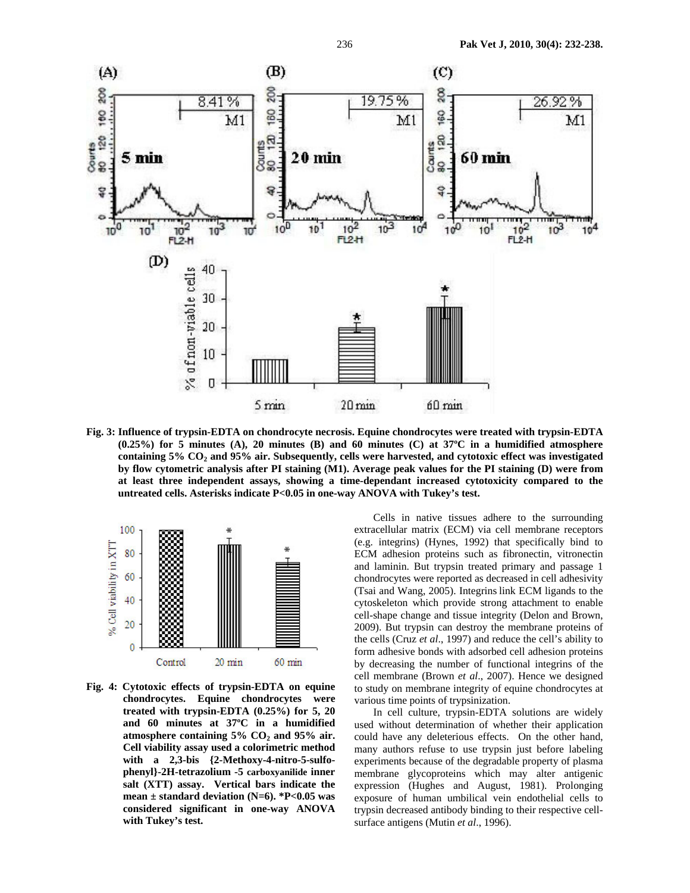

**Fig. 3: Influence of trypsin-EDTA on chondrocyte necrosis. Equine chondrocytes were treated with trypsin-EDTA (0.25%) for 5 minutes (A), 20 minutes (B) and 60 minutes (C) at 37ºC in a humidified atmosphere**  containing 5% CO<sub>2</sub> and 95% air. Subsequently, cells were harvested, and cytotoxic effect was investigated **by flow cytometric analysis after PI staining (M1). Average peak values for the PI staining (D) were from at least three independent assays, showing a time-dependant increased cytotoxicity compared to the untreated cells. Asterisks indicate P<0.05 in one-way ANOVA with Tukey's test.** 



**Fig. 4: Cytotoxic effects of trypsin-EDTA on equine chondrocytes. Equine chondrocytes were treated with trypsin-EDTA (0.25%) for 5, 20 and 60 minutes at 37ºC in a humidified**  atmosphere containing 5% CO<sub>2</sub> and 95% air. **Cell viability assay used a colorimetric method with a 2,3-bis {2-Methoxy-4-nitro-5-sulfophenyl}-2H-tetrazolium -5 carboxyanilide inner salt (XTT) assay. Vertical bars indicate the mean ± standard deviation (N=6). \*P<0.05 was considered significant in one-way ANOVA with Tukey's test.** 

Cells in native tissues adhere to the surrounding extracellular matrix (ECM) via cell membrane receptors (e.g. integrins) (Hynes, 1992) that specifically bind to ECM adhesion proteins such as fibronectin, vitronectin and laminin. But trypsin treated primary and passage 1 chondrocytes were reported as decreased in cell adhesivity (Tsai and Wang, 2005). Integrins link ECM ligands to the cytoskeleton which provide strong attachment to enable cell-shape change and tissue integrity (Delon and Brown, 2009). But trypsin can destroy the membrane proteins of the cells (Cruz *et al*., 1997) and reduce the cell's ability to form adhesive bonds with adsorbed cell adhesion proteins by decreasing the number of functional integrins of the cell membrane (Brown *et al*., 2007). Hence we designed to study on membrane integrity of equine chondrocytes at various time points of trypsinization.

In cell culture, trypsin-EDTA solutions are widely used without determination of whether their application could have any deleterious effects. On the other hand, many authors refuse to use trypsin just before labeling experiments because of the degradable property of plasma membrane glycoproteins which may alter antigenic expression (Hughes and August, 1981). Prolonging exposure of human umbilical vein endothelial cells to trypsin decreased antibody binding to their respective cellsurface antigens (Mutin *et al*., 1996).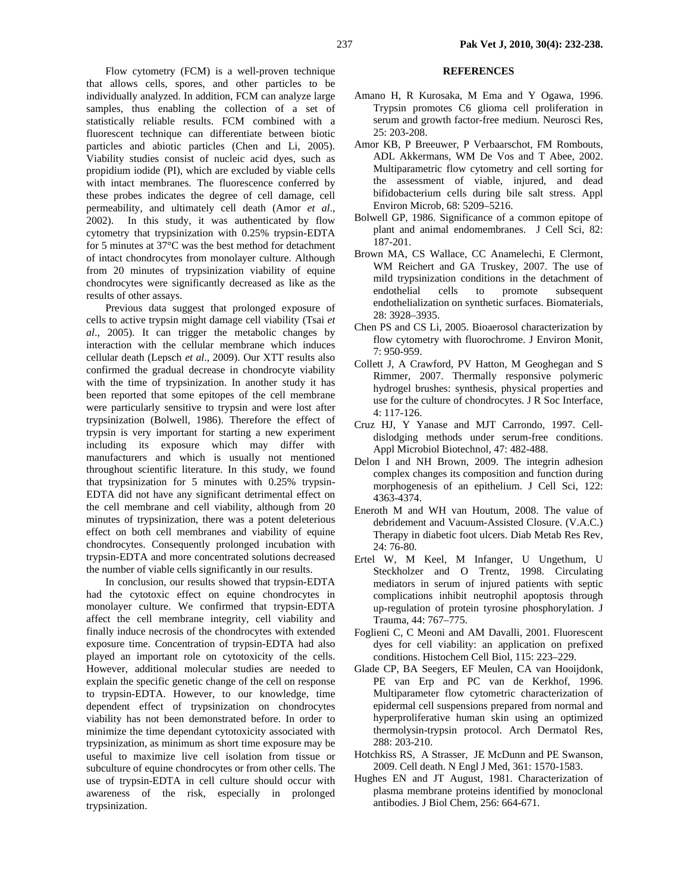Flow cytometry (FCM) is a well-proven technique that allows cells, spores, and other particles to be individually analyzed. In addition, FCM can analyze large samples, thus enabling the collection of a set of statistically reliable results. FCM combined with a fluorescent technique can differentiate between biotic particles and abiotic particles (Chen and Li, 2005). Viability studies consist of nucleic acid dyes, such as propidium iodide (PI), which are excluded by viable cells with intact membranes. The fluorescence conferred by these probes indicates the degree of cell damage, cell permeability, and ultimately cell death (Amor *et al*., 2002).In this study, it was authenticated by flow cytometry that trypsinization with 0.25% trypsin-EDTA for 5 minutes at 37°C was the best method for detachment of intact chondrocytes from monolayer culture. Although from 20 minutes of trypsinization viability of equine chondrocytes were significantly decreased as like as the results of other assays.

Previous data suggest that prolonged exposure of cells to active trypsin might damage cell viability (Tsai *et al*., 2005). It can trigger the metabolic changes by interaction with the cellular membrane which induces cellular death (Lepsch *et al*., 2009). Our XTT results also confirmed the gradual decrease in chondrocyte viability with the time of trypsinization. In another study it has been reported that some epitopes of the cell membrane were particularly sensitive to trypsin and were lost after trypsinization (Bolwell, 1986). Therefore the effect of trypsin is very important for starting a new experiment including its exposure which may differ with manufacturers and which is usually not mentioned throughout scientific literature. In this study, we found that trypsinization for 5 minutes with 0.25% trypsin-EDTA did not have any significant detrimental effect on the cell membrane and cell viability, although from 20 minutes of trypsinization, there was a potent deleterious effect on both cell membranes and viability of equine chondrocytes. Consequently prolonged incubation with trypsin-EDTA and more concentrated solutions decreased the number of viable cells significantly in our results.

In conclusion, our results showed that trypsin-EDTA had the cytotoxic effect on equine chondrocytes in monolayer culture. We confirmed that trypsin-EDTA affect the cell membrane integrity, cell viability and finally induce necrosis of the chondrocytes with extended exposure time. Concentration of trypsin-EDTA had also played an important role on cytotoxicity of the cells. However, additional molecular studies are needed to explain the specific genetic change of the cell on response to trypsin-EDTA. However, to our knowledge, time dependent effect of trypsinization on chondrocytes viability has not been demonstrated before. In order to minimize the time dependant cytotoxicity associated with trypsinization, as minimum as short time exposure may be useful to maximize live cell isolation from tissue or subculture of equine chondrocytes or from other cells. The use of trypsin-EDTA in cell culture should occur with awareness of the risk, especially in prolonged trypsinization.

# **REFERENCES**

- Amano H, R Kurosaka, M Ema and Y Ogawa, 1996. Trypsin promotes C6 glioma cell proliferation in serum and growth factor-free medium. Neurosci Res, 25: 203-208.
- Amor KB, P Breeuwer, P Verbaarschot, FM Rombouts, ADL Akkermans, WM De Vos and T Abee, 2002. Multiparametric flow cytometry and cell sorting for the assessment of viable, injured, and dead bifidobacterium cells during bile salt stress. Appl Environ Microb*,* 68: 5209–5216.
- Bolwell GP, 1986. Significance of a common epitope of plant and animal endomembranes. J Cell Sci, 82: 187-201.
- Brown MA, CS Wallace, CC Anamelechi, E Clermont, WM Reichert and GA Truskey, 2007. The use of mild trypsinization conditions in the detachment of endothelial cells to promote subsequent endothelialization on synthetic surfaces. Biomaterials, 28: 3928–3935.
- Chen PS and CS Li, 2005. Bioaerosol characterization by flow cytometry with fluorochrome. J Environ Monit, 7: 950-959.
- Collett J, A Crawford, PV Hatton, M Geoghegan and S Rimmer, 2007. Thermally responsive polymeric hydrogel brushes: synthesis, physical properties and use for the culture of chondrocytes. J R Soc Interface, 4: 117-126.
- Cruz HJ, Y Yanase and MJT Carrondo, 1997. Celldislodging methods under serum-free conditions. Appl Microbiol Biotechnol, 47: 482-488.
- Delon I and NH Brown, 2009. The integrin adhesion complex changes its composition and function during morphogenesis of an epithelium. J Cell Sci, 122: 4363-4374.
- Eneroth M and WH van Houtum, 2008. The value of debridement and Vacuum-Assisted Closure. (V.A.C.) Therapy in diabetic foot ulcers. Diab Metab Res Rev, 24: 76-80.
- Ertel W, M Keel, M Infanger, U Ungethum, U Steckholzer and O Trentz, 1998. Circulating mediators in serum of injured patients with septic complications inhibit neutrophil apoptosis through up-regulation of protein tyrosine phosphorylation. J Trauma, 44: 767–775.
- Foglieni C, C Meoni and AM Davalli, 2001. Fluorescent dyes for cell viability: an application on prefixed conditions. Histochem Cell Biol, 115: 223–229.
- Glade CP, BA Seegers, EF Meulen, CA van Hooijdonk, PE van Erp and PC van de Kerkhof, 1996. Multiparameter flow cytometric characterization of epidermal cell suspensions prepared from normal and hyperproliferative human skin using an optimized thermolysin-trypsin protocol. Arch Dermatol Res, 288: 203-210.
- Hotchkiss RS, A Strasser, JE McDunn and PE Swanson, 2009. Cell death. N Engl J Med, 361: 1570-1583.
- Hughes EN and JT August, 1981. Characterization of plasma membrane proteins identified by monoclonal antibodies. J Biol Chem, 256: 664-671.